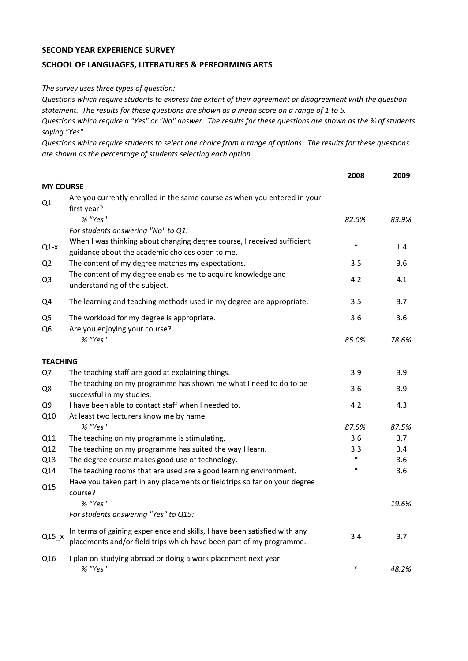## **SECOND YEAR EXPERIENCE SURVEY**

## **SCHOOL OF LANGUAGES, LITERATURES & PERFORMING ARTS**

*The survey uses three types of question:*

*Questions which require students to express the extent of their agreement or disagreement with the question statement. The results for these questions are shown as a mean score on a range of 1 to 5.*

*Questions which require a "Yes" or "No" answer. The results for these questions are shown as the % of students saying "Yes".*

*Questions which require students to select one choice from a range of options. The results for these questions are shown as the percentage of students selecting each option.*

|                                  |                                                                                                                                                  | 2008   | 2009  |
|----------------------------------|--------------------------------------------------------------------------------------------------------------------------------------------------|--------|-------|
| <b>MY COURSE</b>                 |                                                                                                                                                  |        |       |
| Q1                               | Are you currently enrolled in the same course as when you entered in your<br>first year?                                                         |        |       |
|                                  | % "Yes"                                                                                                                                          | 82.5%  | 83.9% |
|                                  | For students answering "No" to Q1:                                                                                                               |        |       |
| $Q1-x$                           | When I was thinking about changing degree course, I received sufficient<br>guidance about the academic choices open to me.                       | $\ast$ | 1.4   |
| Q <sub>2</sub>                   | The content of my degree matches my expectations.                                                                                                | 3.5    | 3.6   |
| Q <sub>3</sub>                   | The content of my degree enables me to acquire knowledge and<br>understanding of the subject.                                                    | 4.2    | 4.1   |
| Q4                               | The learning and teaching methods used in my degree are appropriate.                                                                             | 3.5    | 3.7   |
| Q <sub>5</sub><br>Q <sub>6</sub> | The workload for my degree is appropriate.<br>Are you enjoying your course?                                                                      | 3.6    | 3.6   |
|                                  | % "Yes"                                                                                                                                          | 85.0%  | 78.6% |
| <b>TEACHING</b>                  |                                                                                                                                                  |        |       |
| Q7                               | The teaching staff are good at explaining things.                                                                                                | 3.9    | 3.9   |
| Q8                               | The teaching on my programme has shown me what I need to do to be<br>successful in my studies.                                                   | 3.6    | 3.9   |
| Q <sub>9</sub>                   | I have been able to contact staff when I needed to.                                                                                              | 4.2    | 4.3   |
| Q10                              | At least two lecturers know me by name.                                                                                                          |        |       |
|                                  | % "Yes"                                                                                                                                          | 87.5%  | 87.5% |
| Q11                              | The teaching on my programme is stimulating.                                                                                                     | 3.6    | 3.7   |
| Q12                              | The teaching on my programme has suited the way I learn.                                                                                         | 3.3    | 3.4   |
| Q13                              | The degree course makes good use of technology.                                                                                                  | $\ast$ | 3.6   |
| Q14                              | The teaching rooms that are used are a good learning environment.                                                                                | $\ast$ | 3.6   |
| Q15                              | Have you taken part in any placements or fieldtrips so far on your degree<br>course?                                                             |        |       |
|                                  | % "Yes"                                                                                                                                          |        | 19.6% |
|                                  | For students answering "Yes" to Q15:                                                                                                             |        |       |
| $Q15_x$                          | In terms of gaining experience and skills, I have been satisfied with any<br>placements and/or field trips which have been part of my programme. | 3.4    | 3.7   |
| Q16                              | I plan on studying abroad or doing a work placement next year.<br>% "Yes"                                                                        | $\ast$ | 48.2% |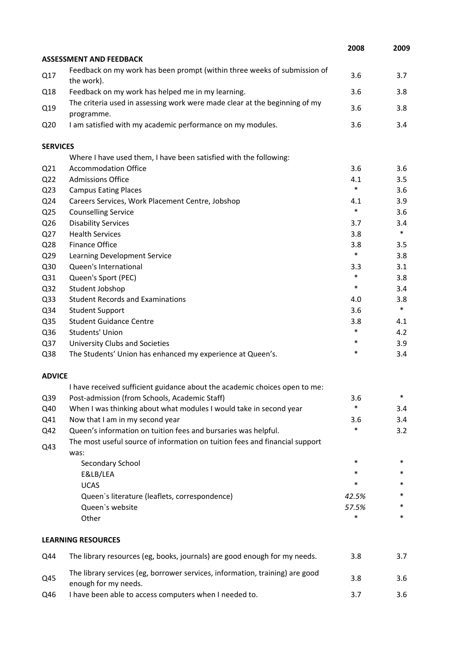|                 |                                                                                                      | 2008   | 2009   |
|-----------------|------------------------------------------------------------------------------------------------------|--------|--------|
|                 | <b>ASSESSMENT AND FEEDBACK</b>                                                                       |        |        |
| Q17             | Feedback on my work has been prompt (within three weeks of submission of<br>the work).               | 3.6    | 3.7    |
| Q18             | Feedback on my work has helped me in my learning.                                                    | 3.6    | 3.8    |
| Q19             | The criteria used in assessing work were made clear at the beginning of my<br>programme.             | 3.6    | 3.8    |
| Q <sub>20</sub> | I am satisfied with my academic performance on my modules.                                           | 3.6    | 3.4    |
| <b>SERVICES</b> |                                                                                                      |        |        |
|                 | Where I have used them, I have been satisfied with the following:                                    |        |        |
| Q <sub>21</sub> | <b>Accommodation Office</b>                                                                          | 3.6    | 3.6    |
| Q <sub>22</sub> | <b>Admissions Office</b>                                                                             | 4.1    | 3.5    |
| Q <sub>23</sub> | <b>Campus Eating Places</b>                                                                          | $\ast$ | 3.6    |
| Q24             | Careers Services, Work Placement Centre, Jobshop                                                     | 4.1    | 3.9    |
| Q <sub>25</sub> | <b>Counselling Service</b>                                                                           | $\ast$ | 3.6    |
| Q26             | <b>Disability Services</b>                                                                           | 3.7    | 3.4    |
| Q27             | <b>Health Services</b>                                                                               | 3.8    | $\ast$ |
| Q28             | <b>Finance Office</b>                                                                                | 3.8    | 3.5    |
| Q29             | Learning Development Service                                                                         | $\ast$ | 3.8    |
| Q30             | Queen's International                                                                                | 3.3    | 3.1    |
| Q31             | Queen's Sport (PEC)                                                                                  | $\ast$ | 3.8    |
| Q <sub>32</sub> | Student Jobshop                                                                                      | $\ast$ | 3.4    |
| Q33             | <b>Student Records and Examinations</b>                                                              | 4.0    | 3.8    |
| Q34             | <b>Student Support</b>                                                                               | 3.6    | $\ast$ |
| Q35             | <b>Student Guidance Centre</b>                                                                       | 3.8    | 4.1    |
| Q36             | Students' Union                                                                                      | $\ast$ | 4.2    |
| Q <sub>37</sub> | University Clubs and Societies                                                                       | $\ast$ | 3.9    |
| Q38             | The Students' Union has enhanced my experience at Queen's.                                           | $\ast$ | 3.4    |
| <b>ADVICE</b>   |                                                                                                      |        |        |
|                 | I have received sufficient guidance about the academic choices open to me:                           |        |        |
| Q39             | Post-admission (from Schools, Academic Staff)                                                        | 3.6    | *      |
| Q40             | When I was thinking about what modules I would take in second year                                   | $\ast$ | 3.4    |
| Q41             | Now that I am in my second year                                                                      | 3.6    | 3.4    |
| Q42             | Queen's information on tuition fees and bursaries was helpful.                                       | *      | 3.2    |
| Q43             | The most useful source of information on tuition fees and financial support<br>was:                  |        |        |
|                 | Secondary School                                                                                     | $\ast$ | *      |
|                 | E&LB/LEA                                                                                             | *      | *      |
|                 | <b>UCAS</b>                                                                                          | *      | *      |
|                 | Queen's literature (leaflets, correspondence)                                                        | 42.5%  | *      |
|                 | Queen's website                                                                                      | 57.5%  | *      |
|                 | Other                                                                                                | *      | $\ast$ |
|                 | <b>LEARNING RESOURCES</b>                                                                            |        |        |
| Q44             | The library resources (eg, books, journals) are good enough for my needs.                            | 3.8    | 3.7    |
| Q45             | The library services (eg, borrower services, information, training) are good<br>enough for my needs. | 3.8    | 3.6    |
| Q46             | I have been able to access computers when I needed to.                                               | 3.7    | 3.6    |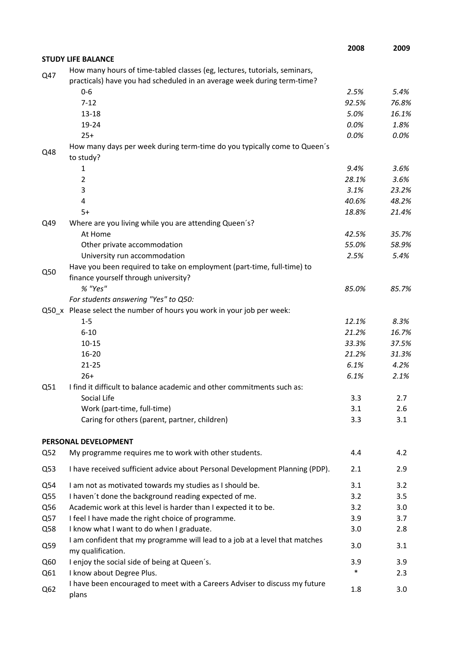|                 |                                                                                                                                                      | 2008   | 2009  |
|-----------------|------------------------------------------------------------------------------------------------------------------------------------------------------|--------|-------|
|                 | <b>STUDY LIFE BALANCE</b>                                                                                                                            |        |       |
| Q47             | How many hours of time-tabled classes (eg, lectures, tutorials, seminars,<br>practicals) have you had scheduled in an average week during term-time? |        |       |
|                 | $0 - 6$                                                                                                                                              | 2.5%   | 5.4%  |
|                 | $7 - 12$                                                                                                                                             | 92.5%  | 76.8% |
|                 | $13 - 18$                                                                                                                                            | 5.0%   | 16.1% |
|                 | 19-24                                                                                                                                                | 0.0%   | 1.8%  |
|                 | $25+$                                                                                                                                                | 0.0%   | 0.0%  |
| Q48             | How many days per week during term-time do you typically come to Queen's<br>to study?                                                                |        |       |
|                 | 1                                                                                                                                                    | 9.4%   | 3.6%  |
|                 | $\overline{2}$                                                                                                                                       | 28.1%  | 3.6%  |
|                 | 3                                                                                                                                                    | 3.1%   | 23.2% |
|                 | 4                                                                                                                                                    | 40.6%  | 48.2% |
|                 | $5+$                                                                                                                                                 | 18.8%  | 21.4% |
| Q49             | Where are you living while you are attending Queen's?                                                                                                |        |       |
|                 | At Home                                                                                                                                              | 42.5%  | 35.7% |
|                 | Other private accommodation                                                                                                                          | 55.0%  | 58.9% |
|                 | University run accommodation                                                                                                                         | 2.5%   | 5.4%  |
| Q50             | Have you been required to take on employment (part-time, full-time) to                                                                               |        |       |
|                 | finance yourself through university?                                                                                                                 |        |       |
|                 | % "Yes"                                                                                                                                              | 85.0%  | 85.7% |
|                 | For students answering "Yes" to Q50:                                                                                                                 |        |       |
|                 | Q50_x Please select the number of hours you work in your job per week:                                                                               |        |       |
|                 | $1 - 5$                                                                                                                                              | 12.1%  | 8.3%  |
|                 | $6 - 10$                                                                                                                                             | 21.2%  | 16.7% |
|                 | $10 - 15$                                                                                                                                            | 33.3%  | 37.5% |
|                 | 16-20                                                                                                                                                | 21.2%  | 31.3% |
|                 | $21 - 25$                                                                                                                                            | 6.1%   | 4.2%  |
|                 | $26+$                                                                                                                                                | 6.1%   | 2.1%  |
| Q51             | I find it difficult to balance academic and other commitments such as:                                                                               |        |       |
|                 | Social Life                                                                                                                                          | 3.3    | 2.7   |
|                 | Work (part-time, full-time)                                                                                                                          | 3.1    | 2.6   |
|                 | Caring for others (parent, partner, children)                                                                                                        | 3.3    | 3.1   |
|                 | PERSONAL DEVELOPMENT                                                                                                                                 |        |       |
| Q52             | My programme requires me to work with other students.                                                                                                | 4.4    | 4.2   |
| Q53             | I have received sufficient advice about Personal Development Planning (PDP).                                                                         | 2.1    | 2.9   |
| Q54             | I am not as motivated towards my studies as I should be.                                                                                             | 3.1    | 3.2   |
| Q55             | I haven't done the background reading expected of me.                                                                                                | 3.2    | 3.5   |
| Q56             | Academic work at this level is harder than I expected it to be.                                                                                      | 3.2    | 3.0   |
| Q57             | I feel I have made the right choice of programme.                                                                                                    | 3.9    | 3.7   |
| Q58             | I know what I want to do when I graduate.                                                                                                            | 3.0    | 2.8   |
| Q59             | I am confident that my programme will lead to a job at a level that matches<br>my qualification.                                                     | 3.0    | 3.1   |
| Q60             | I enjoy the social side of being at Queen's.                                                                                                         | 3.9    | 3.9   |
| Q61             | I know about Degree Plus.                                                                                                                            | $\ast$ | 2.3   |
| Q <sub>62</sub> | I have been encouraged to meet with a Careers Adviser to discuss my future<br>plans                                                                  | 1.8    | 3.0   |